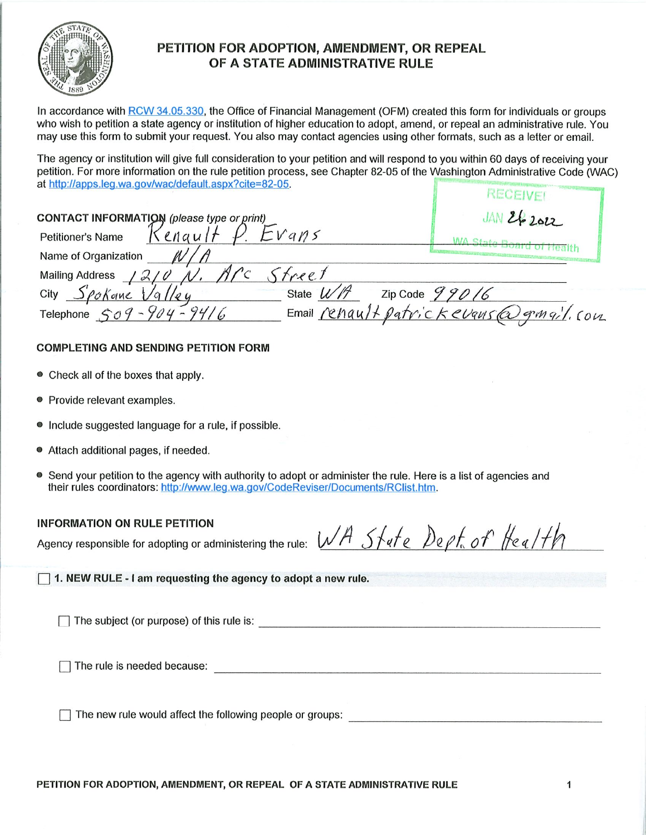

# PETITION FOR ADOPTION, AMENDMENT, OR REPEAL OF A STATE ADMINISTRATIVE RULE

In accordance with RCW 34,05,330, the Office of Financial Management (OFM) created this form for individuals or groups who wish to petition a state agency or institution of higher education to adopt, amend, or repeal an administrative rule. You may use this form to submit your request. You also may contact agencies using other formats, such as a letter or email.

The agency or institution will give full consideration to your petition and will respond to you within 60 days of receiving your petition. For more information on the rule petition process, see Chapter 82-05 of the Washington Administrative Code (WAC) at http://apps.leg.wa.gov/wac/default.aspx?cite=82-05. RECEIVER

|                                                           | <b>I</b> A law and June 1 M A last   |
|-----------------------------------------------------------|--------------------------------------|
| CONTACT INFORMATION (please type or print)                | JAN 26 2022                          |
| $E$ <i>vans</i><br>$\epsilon$ enault<br>Petitioner's Name | WA State Board of Hea                |
| Name of Organization                                      |                                      |
| freet<br>Mailing Address /2/0                             |                                      |
| State $W/\mathcal{P}$<br>City Spokane Valley              | Zip Code $990/6$                     |
| Telephone $509 - 904 - 9416$                              | Email renault patrickevans@gmgil.com |

### COMPLETING AND SENDING PETITION FORM

- Check all of the boxes that apply.
- Provide relevant examples.
- Include suggested language for a rule, if possible.
- Attach additional pages, if needed.
- Send your petition to the agency with authority to adopt or administer the rule. Here is a list of agencies and their rules coordinators: http://www.leg.wa.gov/CodeReviser/Documents/RCIist.htm.

#### INFORMATION ON RULE PETITION

Agency responsible for adopting or administering the rule:  $\sqrt{A}$   $S$   $\neq$   $\neq$   $P$   $\geq$   $\rho$   $\neq$   $\sigma$   $\neq$   $\neq$   $\neq$   $\wedge$ 

 $\Box$  1. NEW RULE - I am requesting the agency to adopt a new rule.

The subject (or purpose) of this rule is:

Q The rule is needed because:

The new rule would affect the following people or groups: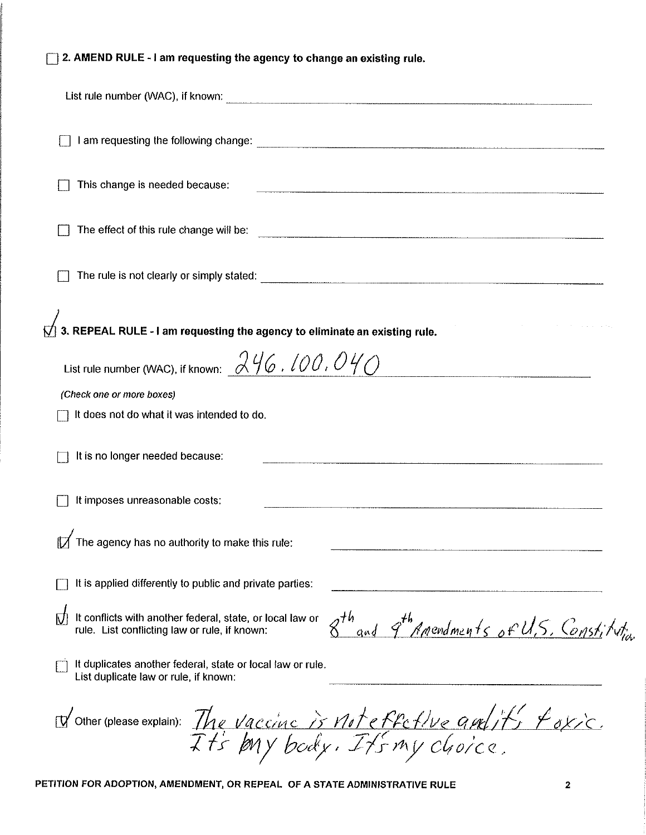◯ 2. AMEND RULE - I am requesting the agency to change an existing rule.

| This change is needed because:                                                                                                                                                         |
|----------------------------------------------------------------------------------------------------------------------------------------------------------------------------------------|
|                                                                                                                                                                                        |
|                                                                                                                                                                                        |
| 3. REPEAL RULE - I am requesting the agency to eliminate an existing rule.                                                                                                             |
| List rule number (WAC), if known: $246$ , $100$ , $040$                                                                                                                                |
| (Check one or more boxes)                                                                                                                                                              |
| It does not do what it was intended to do.                                                                                                                                             |
| It is no longer needed because:                                                                                                                                                        |
| It imposes unreasonable costs:                                                                                                                                                         |
| The agency has no authority to make this rule:                                                                                                                                         |
| It is applied differently to public and private parties:                                                                                                                               |
| It conflicts with another federal, state, or local law or<br>劤<br>8 <sup>th</sup> and 9 <sup>th</sup> Amendments of U.S. Constitution<br>rule. List conflicting law or rule, if known: |
| It duplicates another federal, state or local law or rule.<br>List duplicate law or rule, if known:                                                                                    |
| Wother (please explain): The vaccinc is not effective and it foxic.                                                                                                                    |

PETITION FOR ADOPTION, AMENDMENT. OR REPEAL OF A STATE ADMINISTRATIVE RULE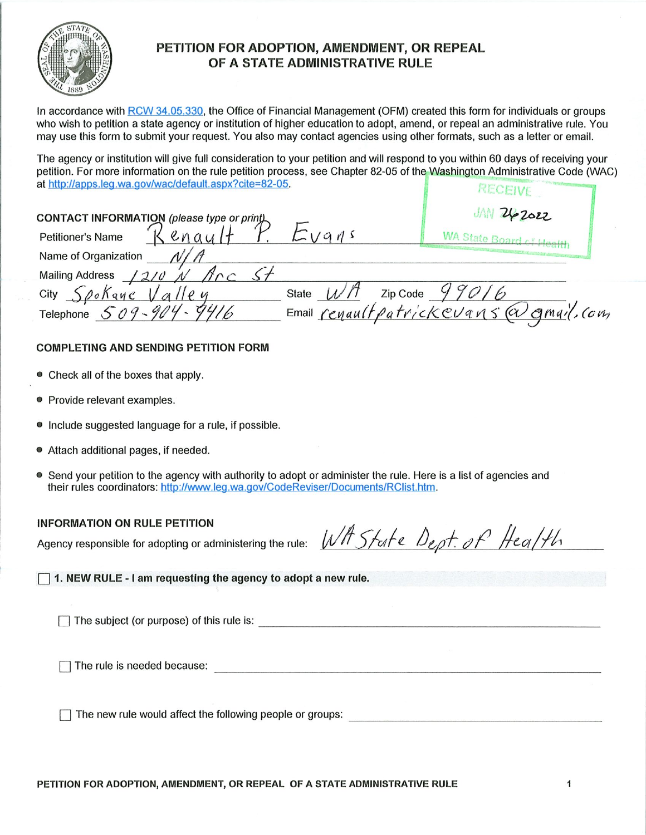

# PETITION FOR ADOPTION, AMENDMENT, OR REPEAL OF A STATE ADMINISTRATIVE RULE

In accordance with RCW 34.05.330, the Office of Financial Management (OFM) created this form for individuals or groups who wish to petition a state agency or institution of higher education to adopt, amend, or repeal an administrative rule. You may use this form to submit your request. You also may contact agencies using other formats, such as a letter or email.

The agency or institution will give full consideration to your petition and wilt respond to you within 60 days of receiving your petition. For more information on the rule petition process, see Chapter 82-05 of the Washington Administrative Code (WAG) at http://apps.!eg.wa.gov/wac/default.aspx?cite=82-05. **RECEIVE** 

| CONTACT INFORMATION (please type or print)                         | 262022                                   |
|--------------------------------------------------------------------|------------------------------------------|
| cenque<br>Petitioner's Name                                        | WA State Board of Health                 |
| Name of Organization                                               |                                          |
| <b>Mailing Address</b>                                             |                                          |
| Zip Code<br>City<br><b>State</b><br>$\circ$ $\land$ $\circ$ $\lor$ |                                          |
| Telephone $509 - 904$                                              | Email Cenault patrick evans @ amail, com |

#### COMPLETING AND SENDING PETITION FORM

- Check all of the boxes that apply.
- Provide relevant examples.
- Include suggested language for a rule, if possible.
- Attach additional pages, if needed.
- Send your petition to the agency with authority to adopt or administer the rule. Here is a list of agencies and their rules coordinators: http://www.leg.wa.gov/CodeReviser/Documents/RClist.htm.

#### INFORMATION ON RULE PETITION

Agency responsible for adopting or administering the rule:  $W$   $\rightarrow$  State Dept. of Health

 $\Box$  1. NEW RULE - I am requesting the agency to adopt a new rule.

 $\Box$  The subject (or purpose) of this rule is:

The rule is needed because:

The new rule would affect the following people or groups: **COVID-100 COVID-2000**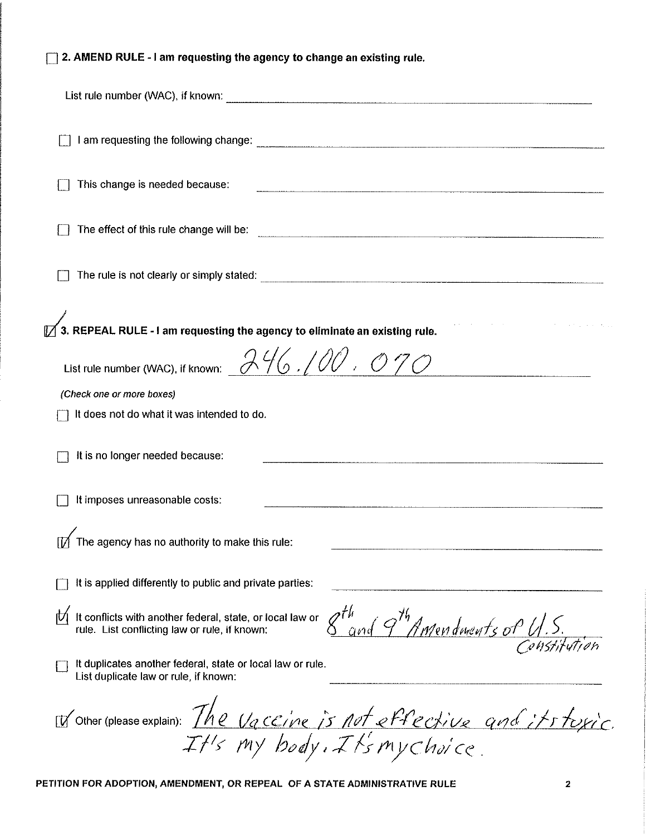## **Q 2. AMEND RULE - I am requesting the agency to change an existing rule.**

| This change is needed because:                                                                                                                        |
|-------------------------------------------------------------------------------------------------------------------------------------------------------|
|                                                                                                                                                       |
|                                                                                                                                                       |
| 3. REPEAL RULE - I am requesting the agency to eliminate an existing rule.                                                                            |
| List rule number (WAC), if known: $\frac{\partial \mathcal{H}}{\partial \omega}$ , $\partial \mathcal{O}$ , $\dot{\mathcal{O}}$ / $\dot{\mathcal{O}}$ |
| (Check one or more boxes)                                                                                                                             |
| It does not do what it was intended to do.                                                                                                            |
| It is no longer needed because:                                                                                                                       |
| It imposes unreasonable costs:                                                                                                                        |
| The agency has no authority to make this rule:                                                                                                        |
| It is applied differently to public and private parties:                                                                                              |
| M It conflicts with another federal, state, or local law or $g^{th}$ and $g^{th}$ mentioned by $f$ of U.S.                                            |
| It duplicates another federal, state or local law or rule.<br>List duplicate law or rule, if known:                                                   |
| Womer (please explain): The vaccine is not effective and its toxic                                                                                    |